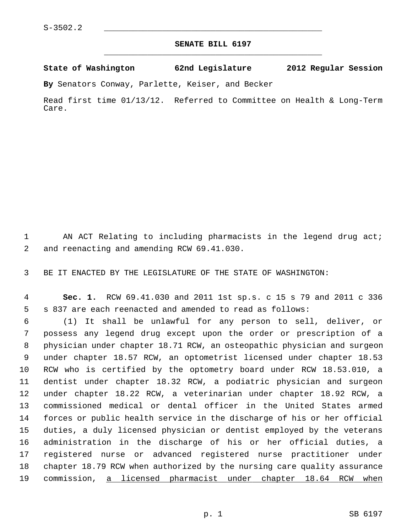## **SENATE BILL 6197** \_\_\_\_\_\_\_\_\_\_\_\_\_\_\_\_\_\_\_\_\_\_\_\_\_\_\_\_\_\_\_\_\_\_\_\_\_\_\_\_\_\_\_\_\_

**State of Washington 62nd Legislature 2012 Regular Session**

**By** Senators Conway, Parlette, Keiser, and Becker

Read first time 01/13/12. Referred to Committee on Health & Long-Term Care.

 1 AN ACT Relating to including pharmacists in the legend drug act; 2 and reenacting and amending RCW 69.41.030.

3 BE IT ENACTED BY THE LEGISLATURE OF THE STATE OF WASHINGTON:

 4 **Sec. 1.** RCW 69.41.030 and 2011 1st sp.s. c 15 s 79 and 2011 c 336 5 s 837 are each reenacted and amended to read as follows:

 6 (1) It shall be unlawful for any person to sell, deliver, or 7 possess any legend drug except upon the order or prescription of a 8 physician under chapter 18.71 RCW, an osteopathic physician and surgeon 9 under chapter 18.57 RCW, an optometrist licensed under chapter 18.53 10 RCW who is certified by the optometry board under RCW 18.53.010, a 11 dentist under chapter 18.32 RCW, a podiatric physician and surgeon 12 under chapter 18.22 RCW, a veterinarian under chapter 18.92 RCW, a 13 commissioned medical or dental officer in the United States armed 14 forces or public health service in the discharge of his or her official 15 duties, a duly licensed physician or dentist employed by the veterans 16 administration in the discharge of his or her official duties, a 17 registered nurse or advanced registered nurse practitioner under 18 chapter 18.79 RCW when authorized by the nursing care quality assurance 19 commission, a licensed pharmacist under chapter 18.64 RCW when